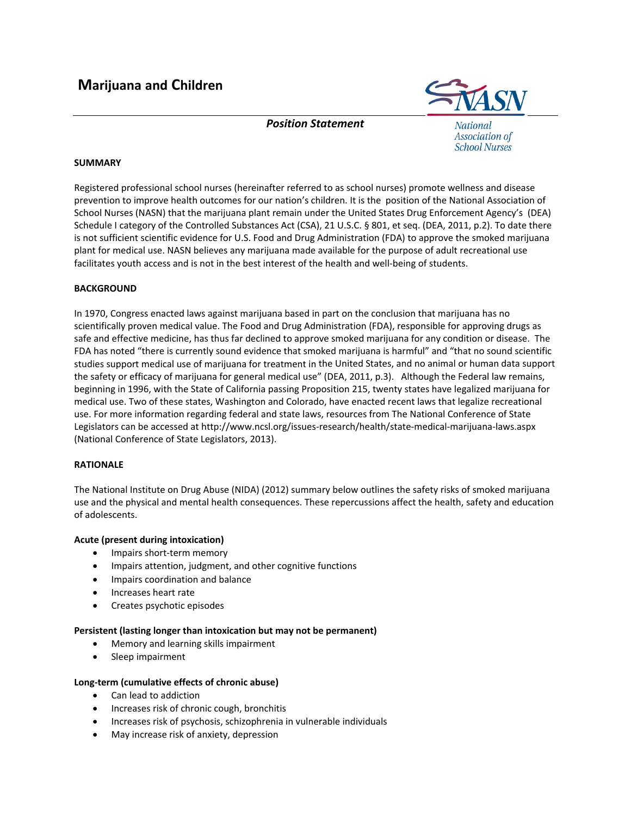

*Position Statement*

**National Association of School Nurses** 

# **SUMMARY**

Registered professional school nurses (hereinafter referred to as school nurses) promote wellness and disease prevention to improve health outcomes for our nation's children. It is the position of the National Association of School Nurses (NASN) that the marijuana plant remain under the United States Drug Enforcement Agency's (DEA) Schedule I category of the Controlled Substances Act (CSA), 21 U.S.C. § 801, et seq. (DEA, 2011, p.2). To date there is not sufficient scientific evidence for U.S. Food and Drug Administration (FDA) to approve the smoked marijuana plant for medical use. NASN believes any marijuana made available for the purpose of adult recreational use facilitates youth access and is not in the best interest of the health and well‐being of students.

## **BACKGROUND**

In 1970, Congress enacted laws against marijuana based in part on the conclusion that marijuana has no scientifically proven medical value. The Food and Drug Administration (FDA), responsible for approving drugs as safe and effective medicine, has thus far declined to approve smoked marijuana for any condition or disease. The FDA has noted "there is currently sound evidence that smoked marijuana is harmful" and "that no sound scientific studies support medical use of marijuana for treatment in the United States, and no animal or human data support the safety or efficacy of marijuana for general medical use" (DEA, 2011, p.3). Although the Federal law remains, beginning in 1996, with the State of California passing Proposition 215, twenty states have legalized marijuana for medical use. Two of these states, Washington and Colorado, have enacted recent laws that legalize recreational use. For more information regarding federal and state laws, resources from The National Conference of State Legislators can be accessed at http://www.ncsl.org/issues‐research/health/state‐medical‐marijuana‐laws.aspx (National Conference of State Legislators, 2013).

## **RATIONALE**

The National Institute on Drug Abuse (NIDA) (2012) summary below outlines the safety risks of smoked marijuana use and the physical and mental health consequences. These repercussions affect the health, safety and education of adolescents.

## **Acute (present during intoxication)**

- Impairs short-term memory
- Impairs attention, judgment, and other cognitive functions
- Impairs coordination and balance
- Increases heart rate
- Creates psychotic episodes

## **Persistent (lasting longer than intoxication but may not be permanent)**

- Memory and learning skills impairment
- Sleep impairment

## **Long‐term (cumulative effects of chronic abuse)**

- Can lead to addiction
- Increases risk of chronic cough, bronchitis
- Increases risk of psychosis, schizophrenia in vulnerable individuals
- May increase risk of anxiety, depression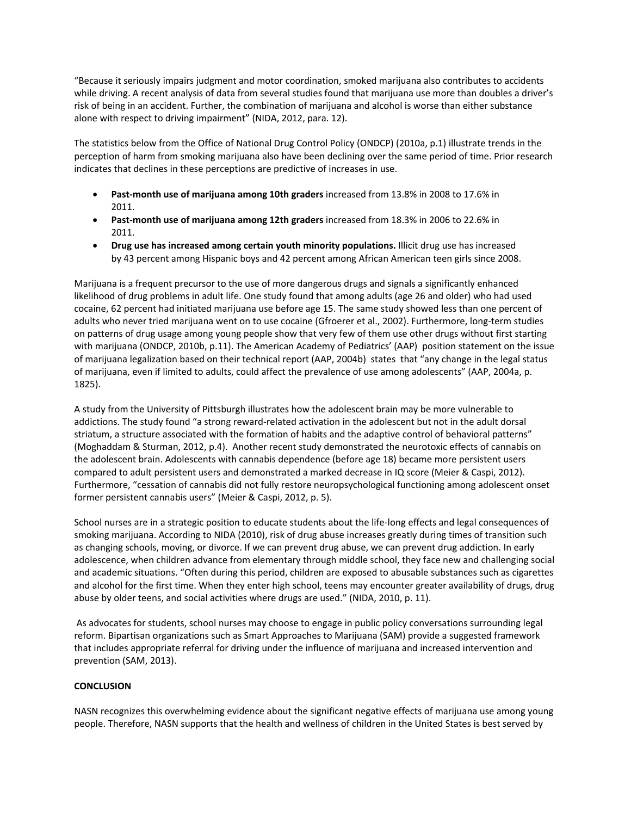"Because it seriously impairs judgment and motor coordination, smoked marijuana also contributes to accidents while driving. A recent analysis of data from several studies found that marijuana use more than doubles a driver's risk of being in an accident. Further, the combination of marijuana and alcohol is worse than either substance alone with respect to driving impairment" (NIDA, 2012, para. 12).

The statistics below from the Office of National Drug Control Policy (ONDCP) (2010a, p.1) illustrate trends in the perception of harm from smoking marijuana also have been declining over the same period of time. Prior research indicates that declines in these perceptions are predictive of increases in use.

- **Past‐month use of marijuana among 10th graders** increased from 13.8% in 2008 to 17.6% in 2011.
- **Past‐month use of marijuana among 12th graders** increased from 18.3% in 2006 to 22.6% in 2011.
- **Drug use has increased among certain youth minority populations.** Illicit drug use has increased by 43 percent among Hispanic boys and 42 percent among African American teen girls since 2008.

Marijuana is a frequent precursor to the use of more dangerous drugs and signals a significantly enhanced likelihood of drug problems in adult life. One study found that among adults (age 26 and older) who had used cocaine, 62 percent had initiated marijuana use before age 15. The same study showed less than one percent of adults who never tried marijuana went on to use cocaine (Gfroerer et al., 2002). Furthermore, long‐term studies on patterns of drug usage among young people show that very few of them use other drugs without first starting with marijuana (ONDCP, 2010b, p.11). The American Academy of Pediatrics' (AAP) position statement on the issue of marijuana legalization based on their technical report (AAP, 2004b) states that "any change in the legal status of marijuana, even if limited to adults, could affect the prevalence of use among adolescents" (AAP, 2004a, p. 1825).

A study from the University of Pittsburgh illustrates how the adolescent brain may be more vulnerable to addictions. The study found "a strong reward‐related activation in the adolescent but not in the adult dorsal striatum, a structure associated with the formation of habits and the adaptive control of behavioral patterns" (Moghaddam & Sturman, 2012, p.4). Another recent study demonstrated the neurotoxic effects of cannabis on the adolescent brain. Adolescents with cannabis dependence (before age 18) became more persistent users compared to adult persistent users and demonstrated a marked decrease in IQ score (Meier & Caspi, 2012). Furthermore, "cessation of cannabis did not fully restore neuropsychological functioning among adolescent onset former persistent cannabis users" (Meier & Caspi, 2012, p. 5).

School nurses are in a strategic position to educate students about the life‐long effects and legal consequences of smoking marijuana. According to NIDA (2010), risk of drug abuse increases greatly during times of transition such as changing schools, moving, or divorce. If we can prevent drug abuse, we can prevent drug addiction. In early adolescence, when children advance from elementary through middle school, they face new and challenging social and academic situations. "Often during this period, children are exposed to abusable substances such as cigarettes and alcohol for the first time. When they enter high school, teens may encounter greater availability of drugs, drug abuse by older teens, and social activities where drugs are used." (NIDA, 2010, p. 11).

As advocates for students, school nurses may choose to engage in public policy conversations surrounding legal reform. Bipartisan organizations such as Smart Approaches to Marijuana (SAM) provide a suggested framework that includes appropriate referral for driving under the influence of marijuana and increased intervention and prevention (SAM, 2013).

## **CONCLUSION**

NASN recognizes this overwhelming evidence about the significant negative effects of marijuana use among young people. Therefore, NASN supports that the health and wellness of children in the United States is best served by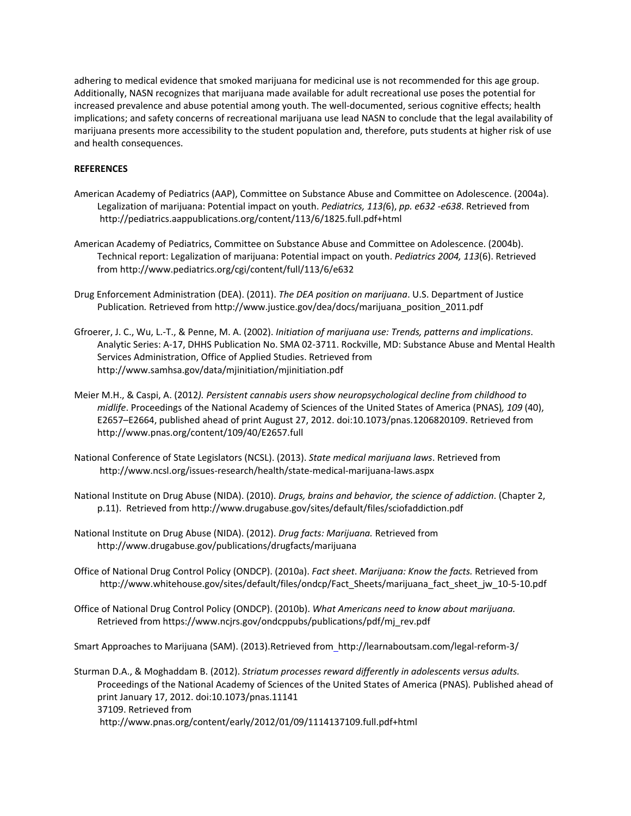adhering to medical evidence that smoked marijuana for medicinal use is not recommended for this age group. Additionally, NASN recognizes that marijuana made available for adult recreational use poses the potential for increased prevalence and abuse potential among youth. The well‐documented, serious cognitive effects; health implications; and safety concerns of recreational marijuana use lead NASN to conclude that the legal availability of marijuana presents more accessibility to the student population and, therefore, puts students at higher risk of use and health consequences.

### **REFERENCES**

- American Academy of Pediatrics (AAP), Committee on Substance Abuse and Committee on Adolescence. (2004a). Legalization of marijuana: Potential impact on youth. *Pediatrics, 113(*6), *pp. e632 ‐e638*. Retrieved from http://pediatrics.aappublications.org/content/113/6/1825.full.pdf+html
- American Academy of Pediatrics, Committee on Substance Abuse and Committee on Adolescence. (2004b). Technical report: Legalization of marijuana: Potential impact on youth. *Pediatrics 2004, 113*(6). Retrieved from http://www.pediatrics.org/cgi/content/full/113/6/e632
- Drug Enforcement Administration (DEA). (2011). *The DEA position on marijuana*. U.S. Department of Justice Publication*.* Retrieved from http://www.justice.gov/dea/docs/marijuana\_position\_2011.pdf
- Gfroerer, J. C., Wu, L.‐T., & Penne, M. A. (2002). *Initiation of marijuana use: Trends, patterns and implications*. Analytic Series: A‐17, DHHS Publication No. SMA 02‐3711. Rockville, MD: Substance Abuse and Mental Health Services Administration, Office of Applied Studies. Retrieved from http://www.samhsa.gov/data/mjinitiation/mjinitiation.pdf
- Meier M.H., & Caspi, A. (2012*). Persistent cannabis users show neuropsychological decline from childhood to midlife*. Proceedings of the National Academy of Sciences of the United States of America (PNAS)*, 109* (40), E2657–E2664, published ahead of print August 27, 2012. doi:10.1073/pnas.1206820109. Retrieved from http://www.pnas.org/content/109/40/E2657.full
- National Conference of State Legislators (NCSL). (2013). *State medical marijuana laws*. Retrieved from http://www.ncsl.org/issues‐research/health/state‐medical‐marijuana‐laws.aspx
- National Institute on Drug Abuse (NIDA). (2010). *Drugs, brains and behavior, the science of addiction*. (Chapter 2, p.11). Retrieved from http://www.drugabuse.gov/sites/default/files/sciofaddiction.pdf
- National Institute on Drug Abuse (NIDA). (2012). *Drug facts: Marijuana.* Retrieved from http://www.drugabuse.gov/publications/drugfacts/marijuana
- Office of National Drug Control Policy (ONDCP). (2010a). *Fact sheet*. *Marijuana: Know the facts.* Retrieved from http://www.whitehouse.gov/sites/default/files/ondcp/Fact\_Sheets/marijuana\_fact\_sheet\_jw\_10‐5‐10.pdf
- Office of National Drug Control Policy (ONDCP). (2010b). *What Americans need to know about marijuana.* Retrieved from https://www.ncjrs.gov/ondcppubs/publications/pdf/mj\_rev.pdf

Smart Approaches to Marijuana (SAM). (2013).Retrieved from http://learnaboutsam.com/legal‐reform‐3/

Sturman D.A., & Moghaddam B. (2012). *Striatum processes reward differently in adolescents versus adults.* Proceedings of the National Academy of Sciences of the United States of America (PNAS)*.* Published ahead of print January 17, 2012. doi:10.1073/pnas.11141 37109. Retrieved from http://www.pnas.org/content/early/2012/01/09/1114137109.full.pdf+html